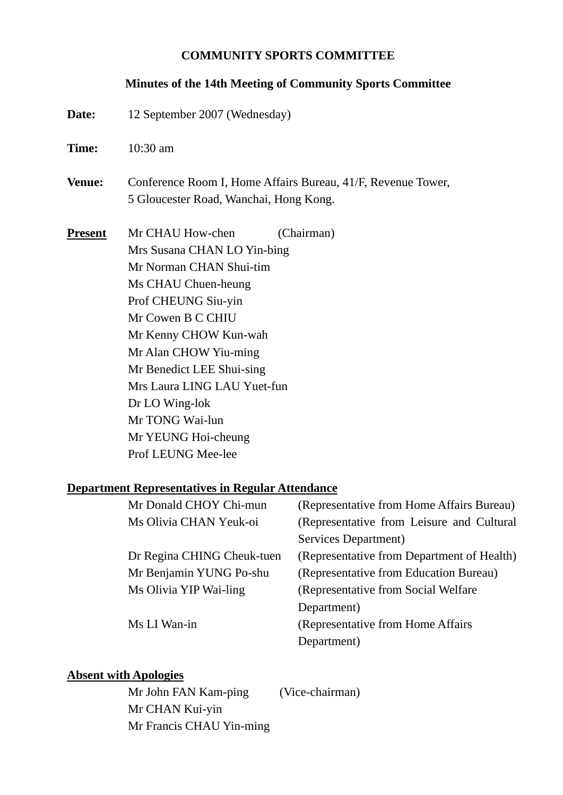#### **COMMUNITY SPORTS COMMITTEE**

#### **Minutes of the 14th Meeting of Community Sports Committee**

Date: 12 September 2007 (Wednesday) **Time: 10:30 am Venue:** Conference Room I, Home Affairs Bureau, 41/F, Revenue Tower, 5 Gloucester Road, Wanchai, Hong Kong. **Present** Mr CHAU How-chen (Chairman) Mrs Susana CHAN LO Yin-bing Mr Norman CHAN Shui-tim Ms CHAU Chuen-heung Prof CHEUNG Siu-yin Mr Cowen B C CHIU Mr Kenny CHOW Kun-wah Mr Alan CHOW Yiu-ming Mr Benedict LEE Shui-sing Mrs Laura LING LAU Yuet-fun Dr LO Wing-lok Mr TONG Wai-lun Mr YEUNG Hoi-cheung Prof LEUNG Mee-lee **Department Representatives in Regular Attendance** Mr Donald CHOV Chi-mun (Representative from Home Affairs Bureau)

| мн донам стго г спг-шин    | $\Lambda$ . The presentative from Frome Afrait's Dureau |
|----------------------------|---------------------------------------------------------|
| Ms Olivia CHAN Yeuk-oi     | (Representative from Leisure and Cultural               |
|                            | Services Department)                                    |
| Dr Regina CHING Cheuk-tuen | (Representative from Department of Health)              |
| Mr Benjamin YUNG Po-shu    | (Representative from Education Bureau)                  |
| Ms Olivia YIP Wai-ling     | (Representative from Social Welfare)                    |
|                            | Department)                                             |
| Ms LI Wan-in               | (Representative from Home Affairs)                      |
|                            | Department)                                             |

#### **Absent with Apologies**

Mr John FAN Kam-ping (Vice-chairman) Mr CHAN Kui-yin Mr Francis CHAU Yin-ming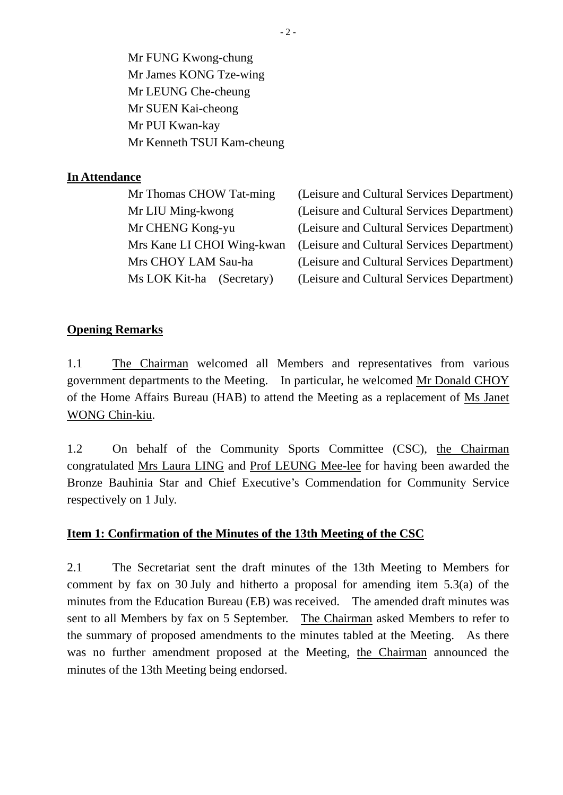Mr FUNG Kwong-chung Mr James KONG Tze-wing Mr LEUNG Che-cheung Mr SUEN Kai-cheong Mr PUI Kwan-kay Mr Kenneth TSUI Kam-cheung

## **In Attendance**

| (Leisure and Cultural Services Department) |
|--------------------------------------------|
| (Leisure and Cultural Services Department) |
| (Leisure and Cultural Services Department) |
| (Leisure and Cultural Services Department) |
| (Leisure and Cultural Services Department) |
| (Leisure and Cultural Services Department) |
|                                            |

## **Opening Remarks**

1.1 The Chairman welcomed all Members and representatives from various government departments to the Meeting. In particular, he welcomed Mr Donald CHOY of the Home Affairs Bureau (HAB) to attend the Meeting as a replacement of Ms Janet WONG Chin-kiu.

1.2 On behalf of the Community Sports Committee (CSC), the Chairman congratulated Mrs Laura LING and Prof LEUNG Mee-lee for having been awarded the Bronze Bauhinia Star and Chief Executive's Commendation for Community Service respectively on 1 July.

## **Item 1: Confirmation of the Minutes of the 13th Meeting of the CSC**

2.1 The Secretariat sent the draft minutes of the 13th Meeting to Members for comment by fax on 30 July and hitherto a proposal for amending item 5.3(a) of the minutes from the Education Bureau (EB) was received. The amended draft minutes was sent to all Members by fax on 5 September. The Chairman asked Members to refer to the summary of proposed amendments to the minutes tabled at the Meeting. As there was no further amendment proposed at the Meeting, the Chairman announced the minutes of the 13th Meeting being endorsed.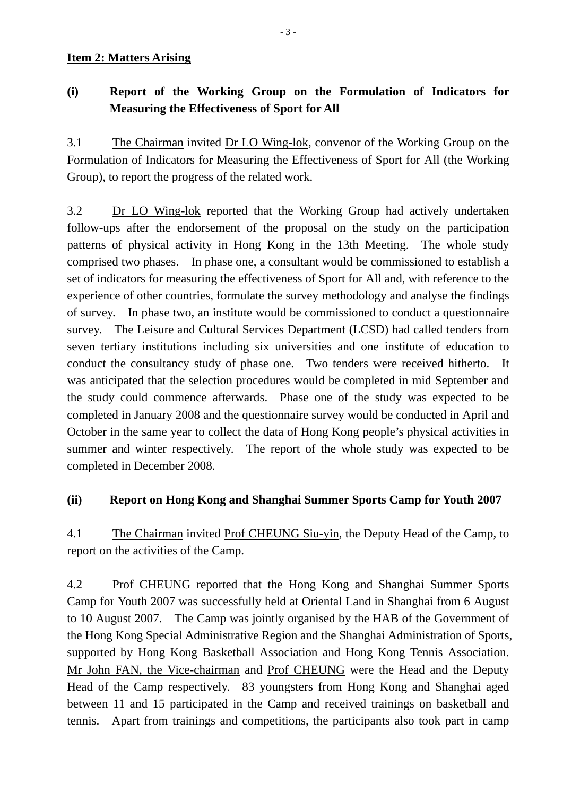#### **Item 2: Matters Arising**

## **(i) Report of the Working Group on the Formulation of Indicators for Measuring the Effectiveness of Sport for All**

3.1 The Chairman invited Dr LO Wing-lok, convenor of the Working Group on the Formulation of Indicators for Measuring the Effectiveness of Sport for All (the Working Group), to report the progress of the related work.

3.2 Dr LO Wing-lok reported that the Working Group had actively undertaken follow-ups after the endorsement of the proposal on the study on the participation patterns of physical activity in Hong Kong in the 13th Meeting. The whole study comprised two phases. In phase one, a consultant would be commissioned to establish a set of indicators for measuring the effectiveness of Sport for All and, with reference to the experience of other countries, formulate the survey methodology and analyse the findings of survey. In phase two, an institute would be commissioned to conduct a questionnaire survey. The Leisure and Cultural Services Department (LCSD) had called tenders from seven tertiary institutions including six universities and one institute of education to conduct the consultancy study of phase one. Two tenders were received hitherto. It was anticipated that the selection procedures would be completed in mid September and the study could commence afterwards. Phase one of the study was expected to be completed in January 2008 and the questionnaire survey would be conducted in April and October in the same year to collect the data of Hong Kong people's physical activities in summer and winter respectively. The report of the whole study was expected to be completed in December 2008.

## **(ii) Report on Hong Kong and Shanghai Summer Sports Camp for Youth 2007**

4.1 The Chairman invited Prof CHEUNG Siu-yin, the Deputy Head of the Camp, to report on the activities of the Camp.

4.2 Prof CHEUNG reported that the Hong Kong and Shanghai Summer Sports Camp for Youth 2007 was successfully held at Oriental Land in Shanghai from 6 August to 10 August 2007. The Camp was jointly organised by the HAB of the Government of the Hong Kong Special Administrative Region and the Shanghai Administration of Sports, supported by Hong Kong Basketball Association and Hong Kong Tennis Association. Mr John FAN, the Vice-chairman and Prof CHEUNG were the Head and the Deputy Head of the Camp respectively. 83 youngsters from Hong Kong and Shanghai aged between 11 and 15 participated in the Camp and received trainings on basketball and tennis. Apart from trainings and competitions, the participants also took part in camp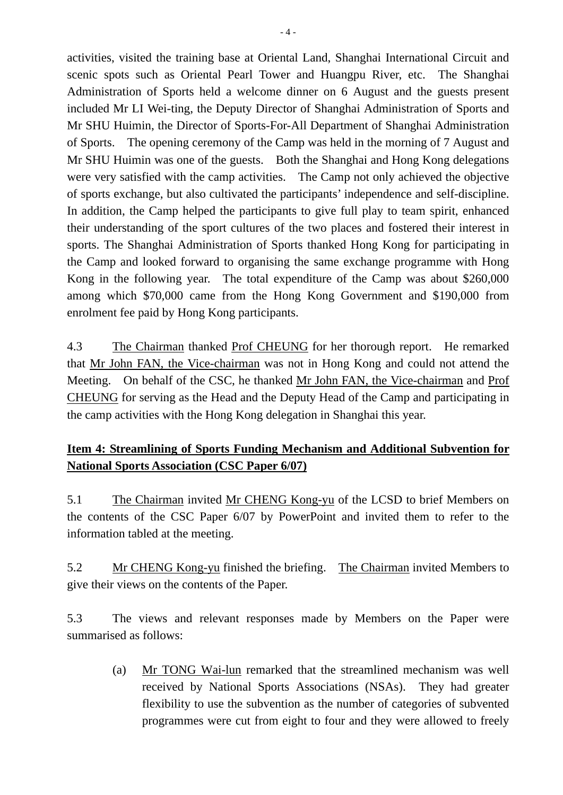activities, visited the training base at Oriental Land, Shanghai International Circuit and scenic spots such as Oriental Pearl Tower and Huangpu River, etc. The Shanghai Administration of Sports held a welcome dinner on 6 August and the guests present included Mr LI Wei-ting, the Deputy Director of Shanghai Administration of Sports and Mr SHU Huimin, the Director of Sports-For-All Department of Shanghai Administration of Sports. The opening ceremony of the Camp was held in the morning of 7 August and Mr SHU Huimin was one of the guests. Both the Shanghai and Hong Kong delegations were very satisfied with the camp activities. The Camp not only achieved the objective of sports exchange, but also cultivated the participants' independence and self-discipline. In addition, the Camp helped the participants to give full play to team spirit, enhanced their understanding of the sport cultures of the two places and fostered their interest in sports. The Shanghai Administration of Sports thanked Hong Kong for participating in the Camp and looked forward to organising the same exchange programme with Hong Kong in the following year. The total expenditure of the Camp was about \$260,000 among which \$70,000 came from the Hong Kong Government and \$190,000 from enrolment fee paid by Hong Kong participants.

4.3 The Chairman thanked Prof CHEUNG for her thorough report. He remarked that Mr John FAN, the Vice-chairman was not in Hong Kong and could not attend the Meeting. On behalf of the CSC, he thanked Mr John FAN, the Vice-chairman and Prof CHEUNG for serving as the Head and the Deputy Head of the Camp and participating in the camp activities with the Hong Kong delegation in Shanghai this year.

## **Item 4: Streamlining of Sports Funding Mechanism and Additional Subvention for National Sports Association (CSC Paper 6/07)**

5.1 The Chairman invited Mr CHENG Kong-yu of the LCSD to brief Members on the contents of the CSC Paper 6/07 by PowerPoint and invited them to refer to the information tabled at the meeting.

5.2 Mr CHENG Kong-yu finished the briefing. The Chairman invited Members to give their views on the contents of the Paper.

5.3 The views and relevant responses made by Members on the Paper were summarised as follows:

> (a) Mr TONG Wai-lun remarked that the streamlined mechanism was well received by National Sports Associations (NSAs). They had greater flexibility to use the subvention as the number of categories of subvented programmes were cut from eight to four and they were allowed to freely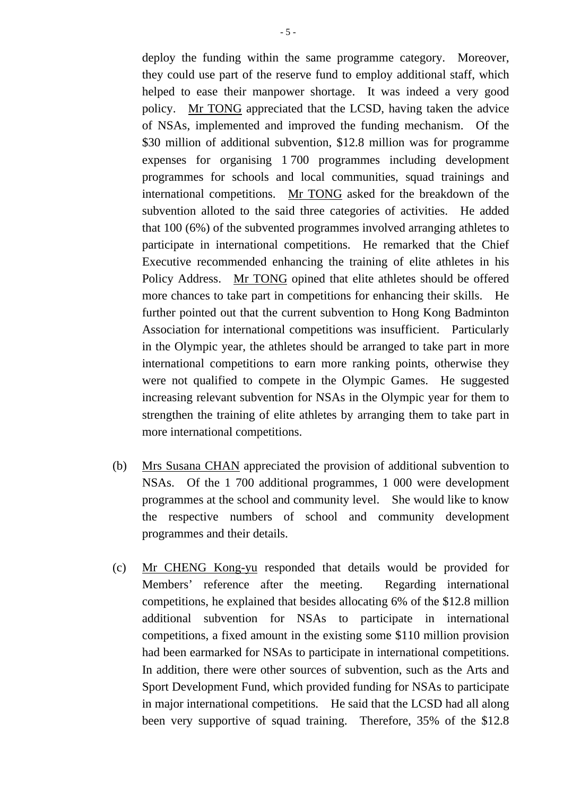deploy the funding within the same programme category. Moreover, they could use part of the reserve fund to employ additional staff, which helped to ease their manpower shortage. It was indeed a very good policy. Mr TONG appreciated that the LCSD, having taken the advice of NSAs, implemented and improved the funding mechanism. Of the \$30 million of additional subvention, \$12.8 million was for programme expenses for organising 1 700 programmes including development programmes for schools and local communities, squad trainings and international competitions. Mr TONG asked for the breakdown of the subvention alloted to the said three categories of activities. He added that 100 (6%) of the subvented programmes involved arranging athletes to participate in international competitions. He remarked that the Chief Executive recommended enhancing the training of elite athletes in his Policy Address. Mr TONG opined that elite athletes should be offered more chances to take part in competitions for enhancing their skills. He further pointed out that the current subvention to Hong Kong Badminton Association for international competitions was insufficient. Particularly in the Olympic year, the athletes should be arranged to take part in more international competitions to earn more ranking points, otherwise they were not qualified to compete in the Olympic Games. He suggested increasing relevant subvention for NSAs in the Olympic year for them to strengthen the training of elite athletes by arranging them to take part in more international competitions.

- (b) Mrs Susana CHAN appreciated the provision of additional subvention to NSAs. Of the 1 700 additional programmes, 1 000 were development programmes at the school and community level. She would like to know the respective numbers of school and community development programmes and their details.
- (c) Mr CHENG Kong-yu responded that details would be provided for Members' reference after the meeting. Regarding international competitions, he explained that besides allocating 6% of the \$12.8 million additional subvention for NSAs to participate in international competitions, a fixed amount in the existing some \$110 million provision had been earmarked for NSAs to participate in international competitions. In addition, there were other sources of subvention, such as the Arts and Sport Development Fund, which provided funding for NSAs to participate in major international competitions. He said that the LCSD had all along been very supportive of squad training. Therefore, 35% of the \$12.8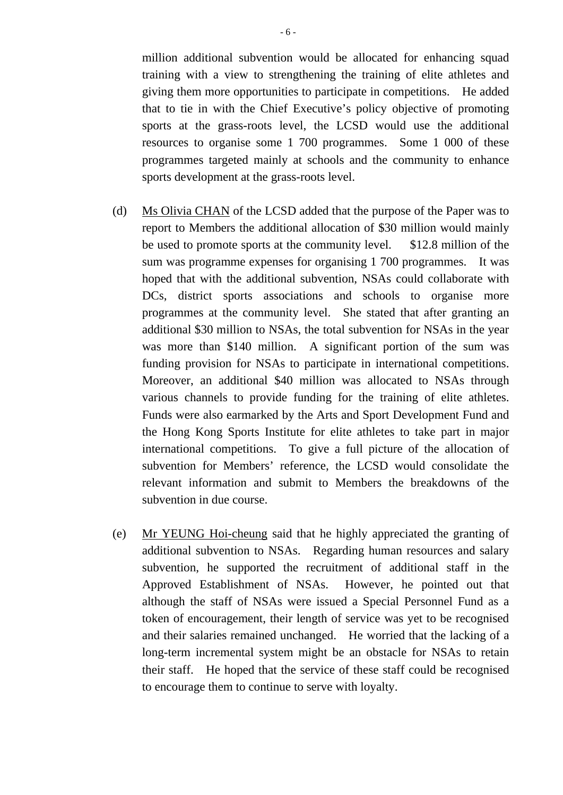million additional subvention would be allocated for enhancing squad training with a view to strengthening the training of elite athletes and giving them more opportunities to participate in competitions. He added that to tie in with the Chief Executive's policy objective of promoting sports at the grass-roots level, the LCSD would use the additional resources to organise some 1 700 programmes. Some 1 000 of these programmes targeted mainly at schools and the community to enhance sports development at the grass-roots level.

- (d) Ms Olivia CHAN of the LCSD added that the purpose of the Paper was to report to Members the additional allocation of \$30 million would mainly be used to promote sports at the community level. \$12.8 million of the sum was programme expenses for organising 1 700 programmes. It was hoped that with the additional subvention, NSAs could collaborate with DCs, district sports associations and schools to organise more programmes at the community level. She stated that after granting an additional \$30 million to NSAs, the total subvention for NSAs in the year was more than \$140 million. A significant portion of the sum was funding provision for NSAs to participate in international competitions. Moreover, an additional \$40 million was allocated to NSAs through various channels to provide funding for the training of elite athletes. Funds were also earmarked by the Arts and Sport Development Fund and the Hong Kong Sports Institute for elite athletes to take part in major international competitions. To give a full picture of the allocation of subvention for Members' reference, the LCSD would consolidate the relevant information and submit to Members the breakdowns of the subvention in due course.
- (e) Mr YEUNG Hoi-cheung said that he highly appreciated the granting of additional subvention to NSAs. Regarding human resources and salary subvention, he supported the recruitment of additional staff in the Approved Establishment of NSAs. However, he pointed out that although the staff of NSAs were issued a Special Personnel Fund as a token of encouragement, their length of service was yet to be recognised and their salaries remained unchanged. He worried that the lacking of a long-term incremental system might be an obstacle for NSAs to retain their staff. He hoped that the service of these staff could be recognised to encourage them to continue to serve with loyalty.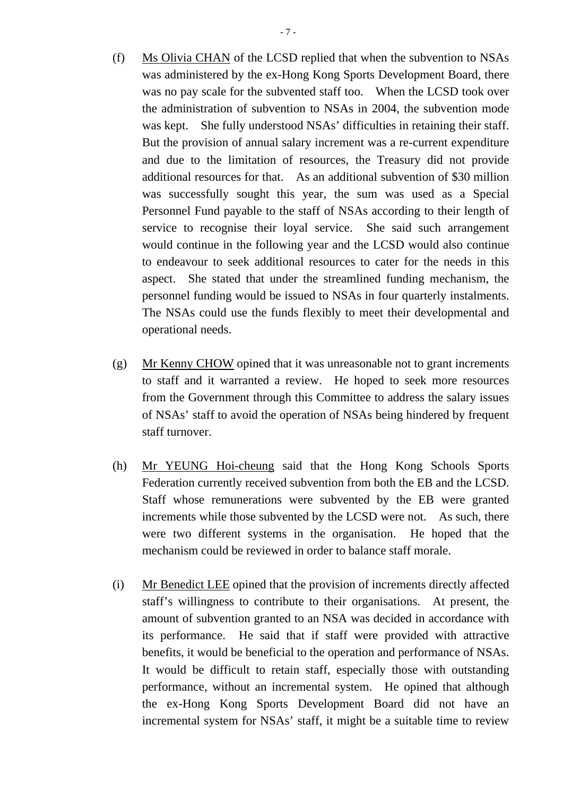- (f) Ms Olivia CHAN of the LCSD replied that when the subvention to NSAs was administered by the ex-Hong Kong Sports Development Board, there was no pay scale for the subvented staff too. When the LCSD took over the administration of subvention to NSAs in 2004, the subvention mode was kept. She fully understood NSAs' difficulties in retaining their staff. But the provision of annual salary increment was a re-current expenditure and due to the limitation of resources, the Treasury did not provide additional resources for that. As an additional subvention of \$30 million was successfully sought this year, the sum was used as a Special Personnel Fund payable to the staff of NSAs according to their length of service to recognise their loyal service. She said such arrangement would continue in the following year and the LCSD would also continue to endeavour to seek additional resources to cater for the needs in this aspect. She stated that under the streamlined funding mechanism, the personnel funding would be issued to NSAs in four quarterly instalments. The NSAs could use the funds flexibly to meet their developmental and operational needs.
- (g) Mr Kenny CHOW opined that it was unreasonable not to grant increments to staff and it warranted a review. He hoped to seek more resources from the Government through this Committee to address the salary issues of NSAs' staff to avoid the operation of NSAs being hindered by frequent staff turnover.
- (h) Mr YEUNG Hoi-cheung said that the Hong Kong Schools Sports Federation currently received subvention from both the EB and the LCSD. Staff whose remunerations were subvented by the EB were granted increments while those subvented by the LCSD were not. As such, there were two different systems in the organisation. He hoped that the mechanism could be reviewed in order to balance staff morale.
- (i) Mr Benedict LEE opined that the provision of increments directly affected staff's willingness to contribute to their organisations. At present, the amount of subvention granted to an NSA was decided in accordance with its performance. He said that if staff were provided with attractive benefits, it would be beneficial to the operation and performance of NSAs. It would be difficult to retain staff, especially those with outstanding performance, without an incremental system. He opined that although the ex-Hong Kong Sports Development Board did not have an incremental system for NSAs' staff, it might be a suitable time to review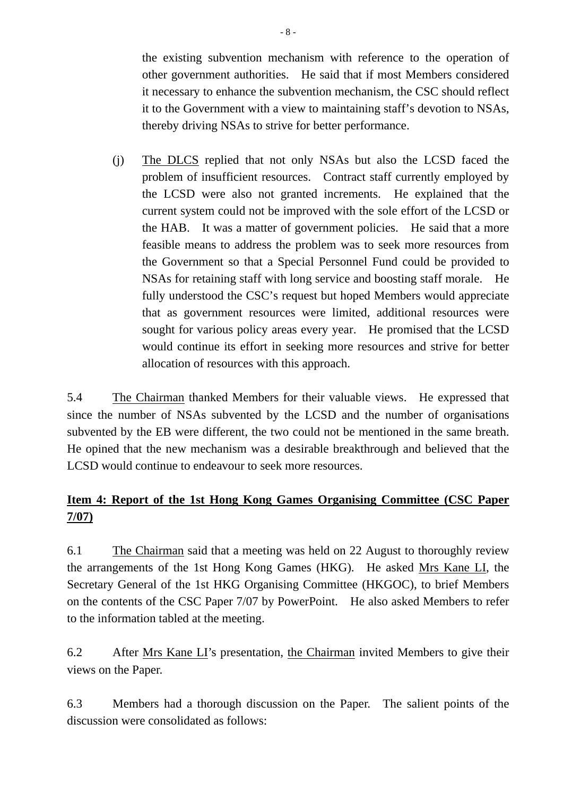the existing subvention mechanism with reference to the operation of other government authorities. He said that if most Members considered it necessary to enhance the subvention mechanism, the CSC should reflect it to the Government with a view to maintaining staff's devotion to NSAs, thereby driving NSAs to strive for better performance.

(j) The DLCS replied that not only NSAs but also the LCSD faced the problem of insufficient resources. Contract staff currently employed by the LCSD were also not granted increments. He explained that the current system could not be improved with the sole effort of the LCSD or the HAB. It was a matter of government policies. He said that a more feasible means to address the problem was to seek more resources from the Government so that a Special Personnel Fund could be provided to NSAs for retaining staff with long service and boosting staff morale. He fully understood the CSC's request but hoped Members would appreciate that as government resources were limited, additional resources were sought for various policy areas every year. He promised that the LCSD would continue its effort in seeking more resources and strive for better allocation of resources with this approach.

5.4 The Chairman thanked Members for their valuable views. He expressed that since the number of NSAs subvented by the LCSD and the number of organisations subvented by the EB were different, the two could not be mentioned in the same breath. He opined that the new mechanism was a desirable breakthrough and believed that the LCSD would continue to endeavour to seek more resources.

# **Item 4: Report of the 1st Hong Kong Games Organising Committee (CSC Paper 7/07)**

6.1 The Chairman said that a meeting was held on 22 August to thoroughly review the arrangements of the 1st Hong Kong Games (HKG). He asked Mrs Kane LI, the Secretary General of the 1st HKG Organising Committee (HKGOC), to brief Members on the contents of the CSC Paper 7/07 by PowerPoint. He also asked Members to refer to the information tabled at the meeting.

6.2 After Mrs Kane LI's presentation, the Chairman invited Members to give their views on the Paper.

6.3 Members had a thorough discussion on the Paper. The salient points of the discussion were consolidated as follows: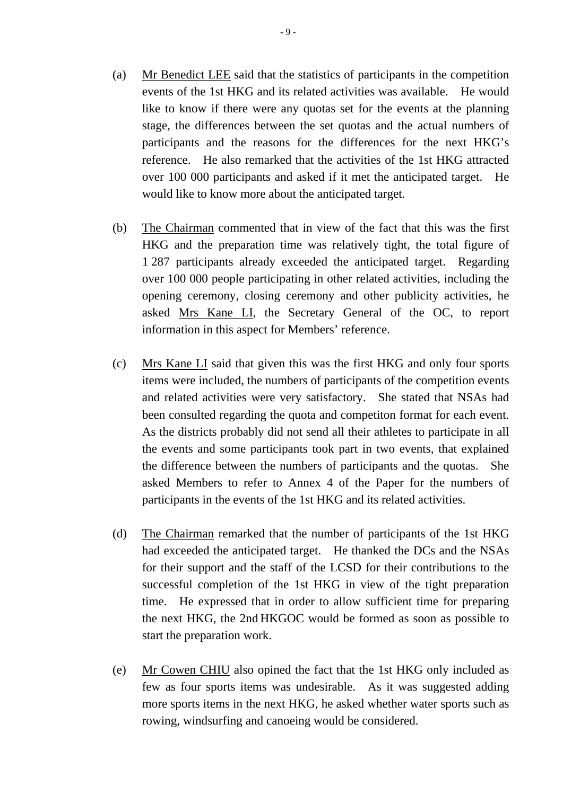- (a) Mr Benedict LEE said that the statistics of participants in the competition events of the 1st HKG and its related activities was available. He would like to know if there were any quotas set for the events at the planning stage, the differences between the set quotas and the actual numbers of participants and the reasons for the differences for the next HKG's reference. He also remarked that the activities of the 1st HKG attracted over 100 000 participants and asked if it met the anticipated target. He would like to know more about the anticipated target.
- (b) The Chairman commented that in view of the fact that this was the first HKG and the preparation time was relatively tight, the total figure of 1 287 participants already exceeded the anticipated target. Regarding over 100 000 people participating in other related activities, including the opening ceremony, closing ceremony and other publicity activities, he asked Mrs Kane LI, the Secretary General of the OC, to report information in this aspect for Members' reference.
- (c) Mrs Kane LI said that given this was the first HKG and only four sports items were included, the numbers of participants of the competition events and related activities were very satisfactory. She stated that NSAs had been consulted regarding the quota and competiton format for each event. As the districts probably did not send all their athletes to participate in all the events and some participants took part in two events, that explained the difference between the numbers of participants and the quotas. She asked Members to refer to Annex 4 of the Paper for the numbers of participants in the events of the 1st HKG and its related activities.
- (d) The Chairman remarked that the number of participants of the 1st HKG had exceeded the anticipated target. He thanked the DCs and the NSAs for their support and the staff of the LCSD for their contributions to the successful completion of the 1st HKG in view of the tight preparation time. He expressed that in order to allow sufficient time for preparing the next HKG, the 2nd HKGOC would be formed as soon as possible to start the preparation work.
- (e) Mr Cowen CHIU also opined the fact that the 1st HKG only included as few as four sports items was undesirable. As it was suggested adding more sports items in the next HKG, he asked whether water sports such as rowing, windsurfing and canoeing would be considered.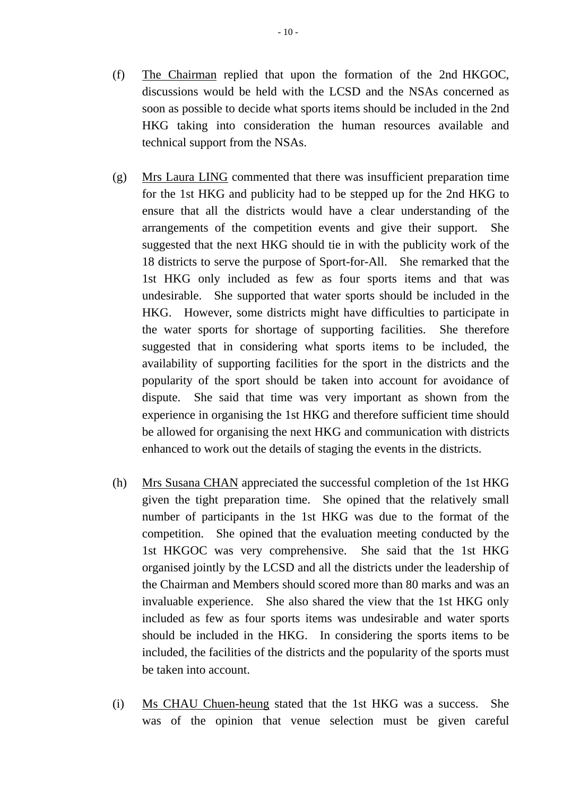- (f) The Chairman replied that upon the formation of the 2nd HKGOC, discussions would be held with the LCSD and the NSAs concerned as soon as possible to decide what sports items should be included in the 2nd HKG taking into consideration the human resources available and technical support from the NSAs.
- (g) Mrs Laura LING commented that there was insufficient preparation time for the 1st HKG and publicity had to be stepped up for the 2nd HKG to ensure that all the districts would have a clear understanding of the arrangements of the competition events and give their support. She suggested that the next HKG should tie in with the publicity work of the 18 districts to serve the purpose of Sport-for-All. She remarked that the 1st HKG only included as few as four sports items and that was undesirable. She supported that water sports should be included in the HKG. However, some districts might have difficulties to participate in the water sports for shortage of supporting facilities. She therefore suggested that in considering what sports items to be included, the availability of supporting facilities for the sport in the districts and the popularity of the sport should be taken into account for avoidance of dispute. She said that time was very important as shown from the experience in organising the 1st HKG and therefore sufficient time should be allowed for organising the next HKG and communication with districts enhanced to work out the details of staging the events in the districts.
- (h) Mrs Susana CHAN appreciated the successful completion of the 1st HKG given the tight preparation time. She opined that the relatively small number of participants in the 1st HKG was due to the format of the competition. She opined that the evaluation meeting conducted by the 1st HKGOC was very comprehensive. She said that the 1st HKG organised jointly by the LCSD and all the districts under the leadership of the Chairman and Members should scored more than 80 marks and was an invaluable experience. She also shared the view that the 1st HKG only included as few as four sports items was undesirable and water sports should be included in the HKG. In considering the sports items to be included, the facilities of the districts and the popularity of the sports must be taken into account.
- (i) Ms CHAU Chuen-heung stated that the 1st HKG was a success. She was of the opinion that venue selection must be given careful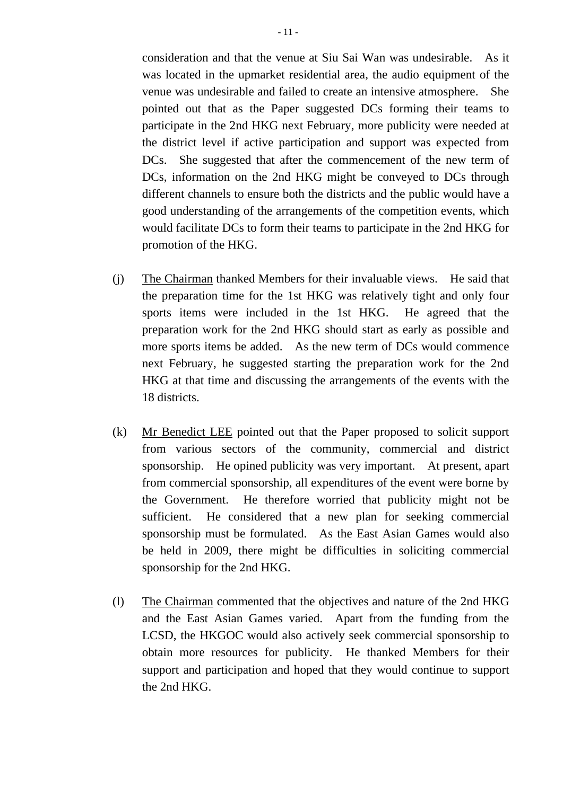consideration and that the venue at Siu Sai Wan was undesirable. As it was located in the upmarket residential area, the audio equipment of the venue was undesirable and failed to create an intensive atmosphere. She pointed out that as the Paper suggested DCs forming their teams to participate in the 2nd HKG next February, more publicity were needed at the district level if active participation and support was expected from DCs. She suggested that after the commencement of the new term of DCs, information on the 2nd HKG might be conveyed to DCs through different channels to ensure both the districts and the public would have a good understanding of the arrangements of the competition events, which would facilitate DCs to form their teams to participate in the 2nd HKG for promotion of the HKG.

- (j) The Chairman thanked Members for their invaluable views. He said that the preparation time for the 1st HKG was relatively tight and only four sports items were included in the 1st HKG. He agreed that the preparation work for the 2nd HKG should start as early as possible and more sports items be added. As the new term of DCs would commence next February, he suggested starting the preparation work for the 2nd HKG at that time and discussing the arrangements of the events with the 18 districts.
- (k) Mr Benedict LEE pointed out that the Paper proposed to solicit support from various sectors of the community, commercial and district sponsorship. He opined publicity was very important. At present, apart from commercial sponsorship, all expenditures of the event were borne by the Government. He therefore worried that publicity might not be sufficient. He considered that a new plan for seeking commercial sponsorship must be formulated. As the East Asian Games would also be held in 2009, there might be difficulties in soliciting commercial sponsorship for the 2nd HKG.
- (l) The Chairman commented that the objectives and nature of the 2nd HKG and the East Asian Games varied. Apart from the funding from the LCSD, the HKGOC would also actively seek commercial sponsorship to obtain more resources for publicity. He thanked Members for their support and participation and hoped that they would continue to support the 2nd HKG.